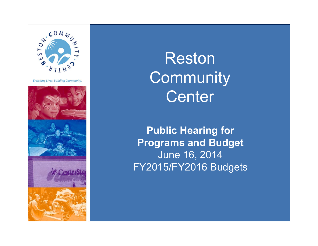

Reston **Community Center** 

Public Hearing for Programs and Budget June 16, 2014 FY2015/FY2016 Budgets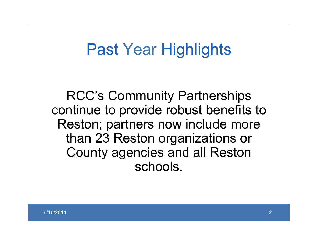#### Past Year Highlights

RCC's Community Partnerships continue to provide robust benefits to Reston; partners now include more than 23 Reston organizations or County agencies and all Reston schools.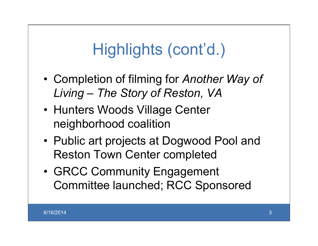- Completion of filming for *Another Way of Living – The Story of Reston, VA*
- Hunters Woods Village Center neighborhood coalition
- Public art projects at Dogwood Pool and Reston Town Center completed
- GRCC Community Engagement Committee launched; RCC Sponsored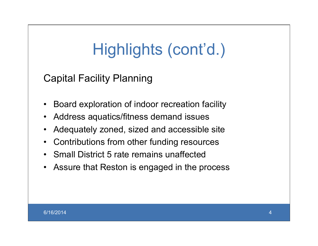Capital Facility Planning

- Board exploration of indoor recreation facility
- Address aquatics/fitness demand issues
- Adequately zoned, sized and accessible site
- Contributions from other funding resources
- Small District 5 rate remains unaffected
- Assure that Reston is engaged in the process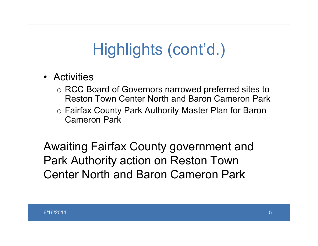- Activities
	- o RCC Board of Governors narrowed preferred sites to Reston Town Center North and Baron Cameron Park
	- o Fairfax County Park Authority Master Plan for Baron Cameron Park

Awaiting Fairfax County government and Park Authority action on Reston Town Center North and Baron Cameron Park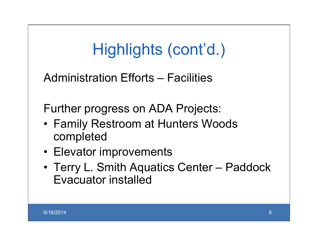Administration Efforts – Facilities

Further progress on ADA Projects:

- Family Restroom at Hunters Woods completed
- Elevator improvements
- Terry L. Smith Aquatics Center Paddock Evacuator installed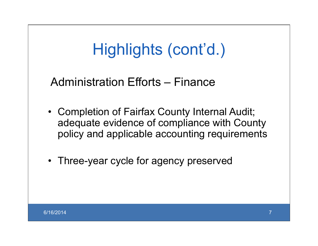#### Administration Efforts – Finance

- Completion of Fairfax County Internal Audit; adequate evidence of compliance with County policy and applicable accounting requirements
- Three-year cycle for agency preserved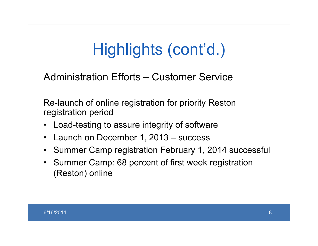#### Administration Efforts – Customer Service

Re-launch of online registration for priority Reston registration period

- Load-testing to assure integrity of software
- Launch on December 1, 2013 success
- Summer Camp registration February 1, 2014 successful
- Summer Camp: 68 percent of first week registration (Reston) online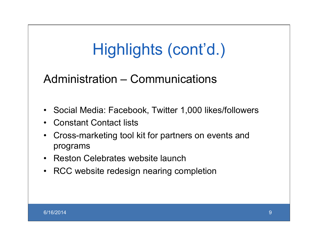#### Administration – Communications

- Social Media: Facebook, Twitter 1,000 likes/followers
- Constant Contact lists
- Cross-marketing tool kit for partners on events and programs
- Reston Celebrates website launch
- RCC website redesign nearing completion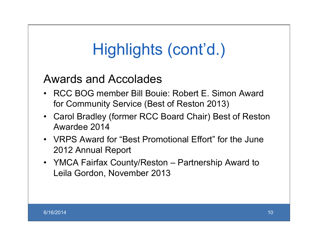#### Awards and Accolades

- RCC BOG member Bill Bouie: Robert E. Simon Award for Community Service (Best of Reston 2013)
- Carol Bradley (former RCC Board Chair) Best of Reston Awardee 2014
- VRPS Award for "Best Promotional Effort" for the June 2012 Annual Report
- YMCA Fairfax County/Reston Partnership Award to Leila Gordon, November 2013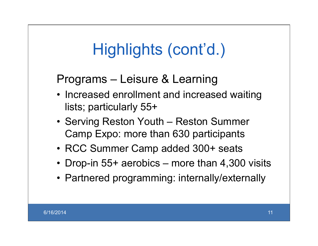Programs – Leisure & Learning

- Increased enrollment and increased waiting lists; particularly 55+
- Serving Reston Youth Reston Summer Camp Expo: more than 630 participants
- RCC Summer Camp added 300+ seats
- Drop-in 55+ aerobics more than 4,300 visits
- Partnered programming: internally/externally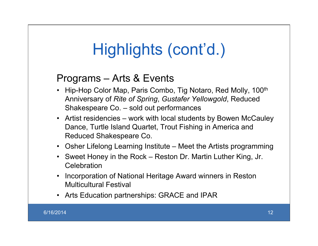#### Programs – Arts & Events

- Hip-Hop Color Map, Paris Combo, Tig Notaro, Red Molly, 100<sup>th</sup> Anniversary of *Rite of Spring*, *Gustafer Yellowgold*, Reduced Shakespeare Co. – sold out performances
- Artist residencies work with local students by Bowen McCauley Dance, Turtle Island Quartet, Trout Fishing in America and Reduced Shakespeare Co.
- Osher Lifelong Learning Institute Meet the Artists programming
- Sweet Honey in the Rock Reston Dr. Martin Luther King, Jr. **Celebration**
- Incorporation of National Heritage Award winners in Reston Multicultural Festival
- Arts Education partnerships: GRACE and IPAR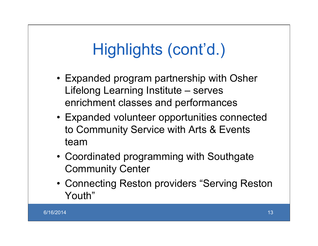- Expanded program partnership with Osher Lifelong Learning Institute – serves enrichment classes and performances
- Expanded volunteer opportunities connected to Community Service with Arts & Events team
- Coordinated programming with Southgate Community Center
- Connecting Reston providers "Serving Reston Youth"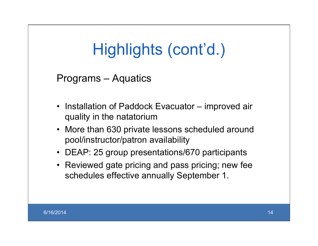Programs – Aquatics

- Installation of Paddock Evacuator improved air quality in the natatorium
- More than 630 private lessons scheduled around pool/instructor/patron availability
- DEAP: 25 group presentations/670 participants
- Reviewed gate pricing and pass pricing; new fee schedules effective annually September 1.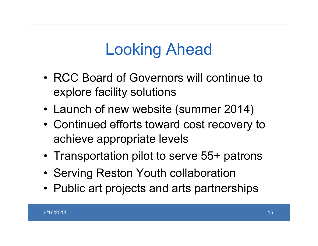## Looking Ahead

- RCC Board of Governors will continue to explore facility solutions
- Launch of new website (summer 2014)
- Continued efforts toward cost recovery to achieve appropriate levels
- Transportation pilot to serve 55+ patrons
- Serving Reston Youth collaboration
- Public art projects and arts partnerships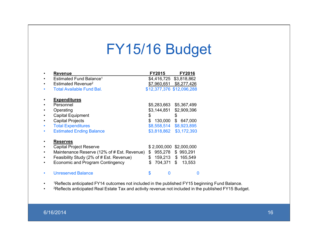#### FY15/16 Budget

| <b>Revenue</b>                              | <b>FY2015</b>             | <b>FY2016</b> |
|---------------------------------------------|---------------------------|---------------|
| Estimated Fund Balance <sup>1</sup>         | \$4,416,725               | \$3,818,862   |
| Estimated Revenue <sup>2</sup>              | \$7,960,651 \$8,277,426   |               |
| <b>Total Available Fund Bal.</b>            | \$12,377,376 \$12,096,288 |               |
| <b>Expenditures</b>                         |                           |               |
| Personnel                                   | \$5,283,663               | \$5,367,499   |
| Operating                                   | \$3,144,851               | \$2,909,396   |
| <b>Capital Equipment</b>                    | \$                        | \$            |
| <b>Capital Projects</b>                     | \$<br>130,000             | \$<br>647,000 |
| <b>Total Expenditures</b>                   | \$8,558,514               | \$8,923,895   |
| <b>Estimated Ending Balance</b>             | \$3,818,862               | \$3,172,393   |
| <b>Reserves</b>                             |                           |               |
| Capital Project Reserve                     | \$2,000,000               | \$2,000,000   |
| Maintenance Reserve (12% of # Est. Revenue) | \$<br>955,278             | \$<br>993,291 |
| Feasibility Study (2% of # Est. Revenue)    | \$<br>159,213             | \$165,549     |
| Economic and Program Contingency            | \$<br>704,371 \$          | 13,553        |
| <b>Unreserved Balance</b>                   | \$                        |               |

- 1Reflects anticipated FY14 outcomes not included in the published FY15 beginning Fund Balance.
- 2Reflects anticipated Real Estate Tax and activity revenue not included in the published FY15 Budget.

#### 6/16/2014 16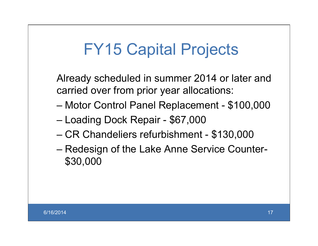## FY15 Capital Projects

Already scheduled in summer 2014 or later and carried over from prior year allocations:

- Motor Control Panel Replacement \$100,000
- Loading Dock Repair \$67,000
- CR Chandeliers refurbishment \$130,000
- Redesign of the Lake Anne Service Counter- \$30,000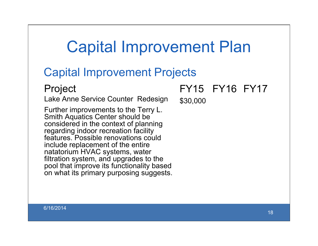### Capital Improvement Plan

#### Capital Improvement Projects

#### Project

Lake Anne Service Counter Redesign

Further improvements to the Terry L. Smith Aquatics Center should be considered in the context of planning regarding indoor recreation facility features. Possible renovations could include replacement of the entire natatorium HVAC systems, water filtration system, and upgrades to the pool that improve its functionality based on what its primary purposing suggests. FY15 FY16 FY17

\$30,000

6/16/2014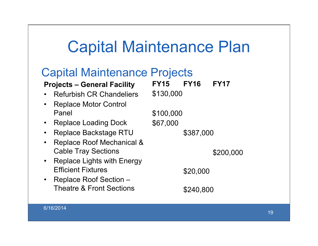#### Capital Maintenance Plan

#### Capital Maintenance Projects

#### Projects – General Facility

- Refurbish CR Chandeliers
- Replace Motor Control Panel
- Replace Loading Dock
- Replace Backstage RTU
- Replace Roof Mechanical & Cable Tray Sections
- Replace Lights with Energy Efficient Fixtures
- Replace Roof Section Theatre & Front Sections

FY15 FY16 FY17 \$130,000 \$100,000 \$67,000 \$387,000 \$200,000 \$20,000

\$240,800

6/16/2014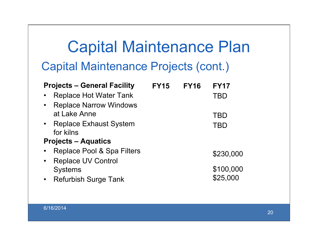### Capital Maintenance Plan Capital Maintenance Projects (cont.)

| <b>Projects – General Facility</b>         | <b>FY15</b> | <b>FY16</b> | <b>FY17</b> |  |  |  |
|--------------------------------------------|-------------|-------------|-------------|--|--|--|
| <b>Replace Hot Water Tank</b>              |             |             | TBD         |  |  |  |
| <b>Replace Narrow Windows</b><br>$\bullet$ |             |             |             |  |  |  |
| at Lake Anne                               |             |             | TBD         |  |  |  |
| • Replace Exhaust System                   |             |             | <b>TBD</b>  |  |  |  |
| for kilns                                  |             |             |             |  |  |  |
| <b>Projects – Aquatics</b>                 |             |             |             |  |  |  |
| Replace Pool & Spa Filters                 |             |             | \$230,000   |  |  |  |
| <b>Replace UV Control</b><br>$\bullet$     |             |             |             |  |  |  |
| <b>Systems</b>                             |             |             | \$100,000   |  |  |  |
| • Refurbish Surge Tank                     |             |             | \$25,000    |  |  |  |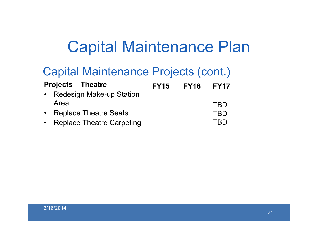### Capital Maintenance Plan

#### Capital Maintenance Projects (cont.)

| <b>Projects – Theatre</b> |                                  | <b>FY15</b> | <b>FY16 FY17</b> |            |
|---------------------------|----------------------------------|-------------|------------------|------------|
| $\bullet$                 | <b>Redesign Make-up Station</b>  |             |                  |            |
|                           | Area                             |             |                  | <b>TRD</b> |
|                           | <b>Replace Theatre Seats</b>     |             |                  | <b>TBD</b> |
|                           | <b>Replace Theatre Carpeting</b> |             |                  | <b>TRD</b> |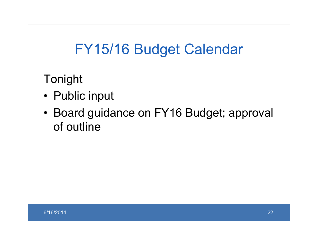#### FY15/16 Budget Calendar

Tonight

- Public input
- Board guidance on FY16 Budget; approval of outline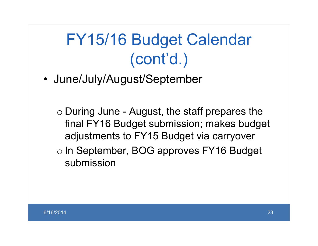# FY15/16 Budget Calendar (cont'd.)

- June/July/August/September
	- o During June August, the staff prepares the final FY16 Budget submission; makes budget adjustments to FY15 Budget via carryover
	- o In September, BOG approves FY16 Budget submission